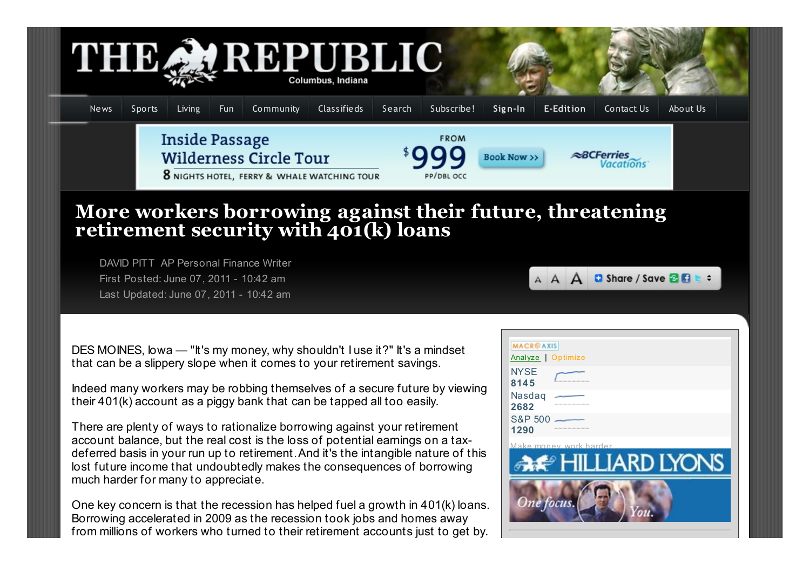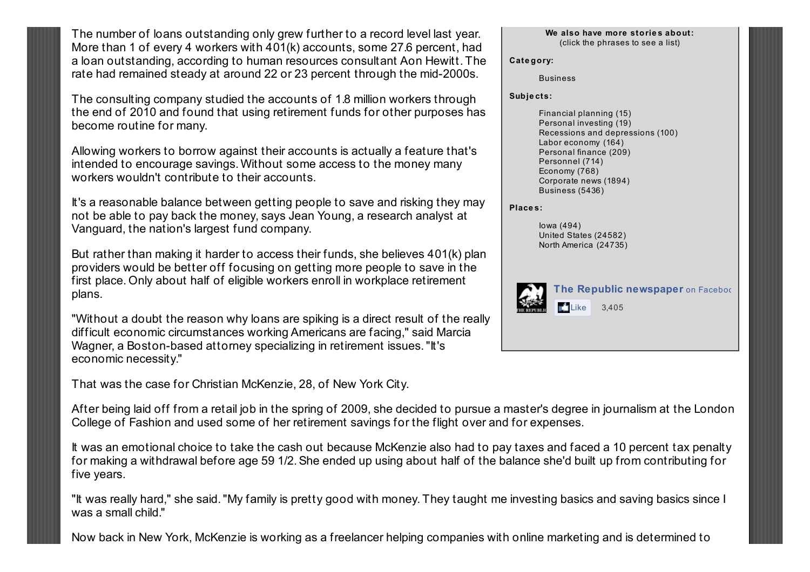The number of loans outstanding only grew further to a record level last year. More than 1 of every 4 workers with 401(k) accounts, some 27.6 percent, had a loan outstanding, according to human resources consultant Aon Hewitt. The rate had remained steady at around 22 or 23 percent through the mid-2000s.

The consulting company studied the accounts of 1.8 million workers through the end of 2010 and found that using retirement funds for other purposes has become routine for many.

Allowing workers to borrow against their accounts is actually a feature that's intended to encourage savings. Without some access to the money many workers wouldn't contribute to their accounts.

It's a reasonable balance between getting people to save and risking they may not be able to pay back the money, says Jean Young, a research analyst at Vanguard, the nation's largest fund company.

But rather than making it harder to access their funds, she believes 401(k) plan providers would be better off focusing on getting more people to save in the first place. Only about half of eligible workers enroll in workplace retirement plans.

"Without a doubt the reason why loans are spiking is a direct result of the really difficult economic circumstances working Americans are facing," said Marcia Wagner, a Boston-based attorney specializing in retirement issues. "It's economic necessity."

That was the case for Christian McKenzie, 28, of New York City.

After being laid off from a retail job in the spring of 2009, she decided to pursue a master's degree in journalism at the London College of Fashion and used some of her retirement savings for the flight over and for expenses.

It was an emotional choice to take the cash out because McKenzie also had to pay taxes and faced a 10 percent tax penalty for making a withdrawal before age 59 1/2.She ended up using about half of the balance she'd built up from contributing for five years.

"It was really hard," she said."My family is pretty good with money. They taught me investing basics and saving basics since I was a small child."

Now back in New York, McKenzie is working as a freelancer helping companies with online marketing and is determined to

## **We also have more storie s about:** (click the phrases to see a list)

**Cate gory:**

[Business](http://www.therepublic.com/view/story/4b615d3e8f4b4b5ba3e355a6fecc8c79/US-401k-Piggy-Bank-Mentality/view/category/5000)

**Subje cts:**

[Financial](http://www.therepublic.com/view/story/4b615d3e8f4b4b5ba3e355a6fecc8c79/US-401k-Piggy-Bank-Mentality/search/subject/8f8631e34c8b48498826e8b28f9afe76/) planning (15) [Personal](http://www.therepublic.com/view/story/4b615d3e8f4b4b5ba3e355a6fecc8c79/US-401k-Piggy-Bank-Mentality/search/subject/523716d088e910048f53f8851349f9bd/) investing (19) Recessions and [depressions](http://www.therepublic.com/view/story/4b615d3e8f4b4b5ba3e355a6fecc8c79/US-401k-Piggy-Bank-Mentality/search/subject/e52df429a4b34c12acaa65a2071dabb7/) (100) Labor [economy](http://www.therepublic.com/view/story/4b615d3e8f4b4b5ba3e355a6fecc8c79/US-401k-Piggy-Bank-Mentality/search/subject/ec2db49888e810048c93f8851349f9bd/) (164) [Personal](http://www.therepublic.com/view/story/4b615d3e8f4b4b5ba3e355a6fecc8c79/US-401k-Piggy-Bank-Mentality/search/subject/5bfcea40857510048d1dff2260dd383e/) finance (209) [Personnel](http://www.therepublic.com/view/story/4b615d3e8f4b4b5ba3e355a6fecc8c79/US-401k-Piggy-Bank-Mentality/search/subject/52352e8888e910048f1ff8851349f9bd/) (714) [Economy](http://www.therepublic.com/view/story/4b615d3e8f4b4b5ba3e355a6fecc8c79/US-401k-Piggy-Bank-Mentality/search/subject/4f7e0448857510048d0aff2260dd383e/) (768) [Corporate](http://www.therepublic.com/view/story/4b615d3e8f4b4b5ba3e355a6fecc8c79/US-401k-Piggy-Bank-Mentality/search/subject/4d3302d8857510048d06ff2260dd383e/) news (1894) [Business](http://www.therepublic.com/view/story/4b615d3e8f4b4b5ba3e355a6fecc8c79/US-401k-Piggy-Bank-Mentality/search/subject/c8e409f8858510048872ff2260dd383e/) (5436)

## **Place s:**

[Iowa](http://www.therepublic.com/view/story/4b615d3e8f4b4b5ba3e355a6fecc8c79/US-401k-Piggy-Bank-Mentality/search/place/1608ba1082b310048433df092526b43e/) (494) [United](http://www.therepublic.com/view/story/4b615d3e8f4b4b5ba3e355a6fecc8c79/US-401k-Piggy-Bank-Mentality/search/place/661e48387d5b10048291c076b8e3055c/) States (24582) North [America](http://www.therepublic.com/view/story/4b615d3e8f4b4b5ba3e355a6fecc8c79/US-401k-Piggy-Bank-Mentality/search/place/661850e07d5b100481f7c076b8e3055c/) (24735)



**The Republic newspaper** on Facebod r4 Like 3,405